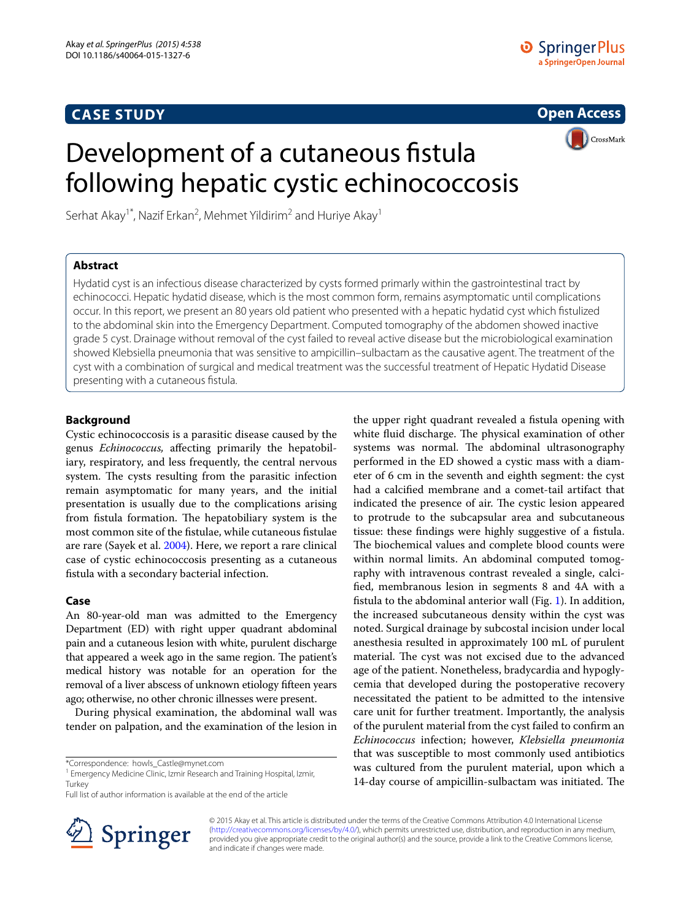# **CASE STUDY**

**Open Access**

CrossMark

# Development of a cutaneous fistula following hepatic cystic echinococcosis

Serhat Akay<sup>1\*</sup>, Nazif Erkan<sup>2</sup>, Mehmet Yildirim<sup>2</sup> and Huriye Akay<sup>1</sup>

# **Abstract**

Hydatid cyst is an infectious disease characterized by cysts formed primarly within the gastrointestinal tract by echinococci. Hepatic hydatid disease, which is the most common form, remains asymptomatic until complications occur. In this report, we present an 80 years old patient who presented with a hepatic hydatid cyst which fistulized to the abdominal skin into the Emergency Department. Computed tomography of the abdomen showed inactive grade 5 cyst. Drainage without removal of the cyst failed to reveal active disease but the microbiological examination showed Klebsiella pneumonia that was sensitive to ampicillin–sulbactam as the causative agent. The treatment of the cyst with a combination of surgical and medical treatment was the successful treatment of Hepatic Hydatid Disease presenting with a cutaneous fistula.

## **Background**

Cystic echinococcosis is a parasitic disease caused by the genus *Echinococcus,* affecting primarily the hepatobiliary, respiratory, and less frequently, the central nervous system. The cysts resulting from the parasitic infection remain asymptomatic for many years, and the initial presentation is usually due to the complications arising from fistula formation. The hepatobiliary system is the most common site of the fistulae, while cutaneous fistulae are rare (Sayek et al. [2004\)](#page-2-0). Here, we report a rare clinical case of cystic echinococcosis presenting as a cutaneous fistula with a secondary bacterial infection.

## **Case**

An 80-year-old man was admitted to the Emergency Department (ED) with right upper quadrant abdominal pain and a cutaneous lesion with white, purulent discharge that appeared a week ago in the same region. The patient's medical history was notable for an operation for the removal of a liver abscess of unknown etiology fifteen years ago; otherwise, no other chronic illnesses were present.

During physical examination, the abdominal wall was tender on palpation, and the examination of the lesion in

\*Correspondence: howls\_Castle@mynet.com

Full list of author information is available at the end of the article



the upper right quadrant revealed a fistula opening with white fluid discharge. The physical examination of other systems was normal. The abdominal ultrasonography performed in the ED showed a cystic mass with a diameter of 6 cm in the seventh and eighth segment: the cyst had a calcified membrane and a comet-tail artifact that indicated the presence of air. The cystic lesion appeared to protrude to the subcapsular area and subcutaneous tissue: these findings were highly suggestive of a fistula. The biochemical values and complete blood counts were within normal limits. An abdominal computed tomography with intravenous contrast revealed a single, calcified, membranous lesion in segments 8 and 4A with a fistula to the abdominal anterior wall (Fig. [1](#page-1-0)). In addition, the increased subcutaneous density within the cyst was noted. Surgical drainage by subcostal incision under local anesthesia resulted in approximately 100 mL of purulent material. The cyst was not excised due to the advanced age of the patient. Nonetheless, bradycardia and hypoglycemia that developed during the postoperative recovery necessitated the patient to be admitted to the intensive care unit for further treatment. Importantly, the analysis of the purulent material from the cyst failed to confirm an *Echinococcus* infection; however, *Klebsiella pneumonia* that was susceptible to most commonly used antibiotics was cultured from the purulent material, upon which a 14-day course of ampicillin-sulbactam was initiated. The

© 2015 Akay et al. This article is distributed under the terms of the Creative Commons Attribution 4.0 International License [\(http://creativecommons.org/licenses/by/4.0/\)](http://creativecommons.org/licenses/by/4.0/), which permits unrestricted use, distribution, and reproduction in any medium, provided you give appropriate credit to the original author(s) and the source, provide a link to the Creative Commons license, and indicate if changes were made.

<sup>&</sup>lt;sup>1</sup> Emergency Medicine Clinic, Izmir Research and Training Hospital, Izmir, **Turkey**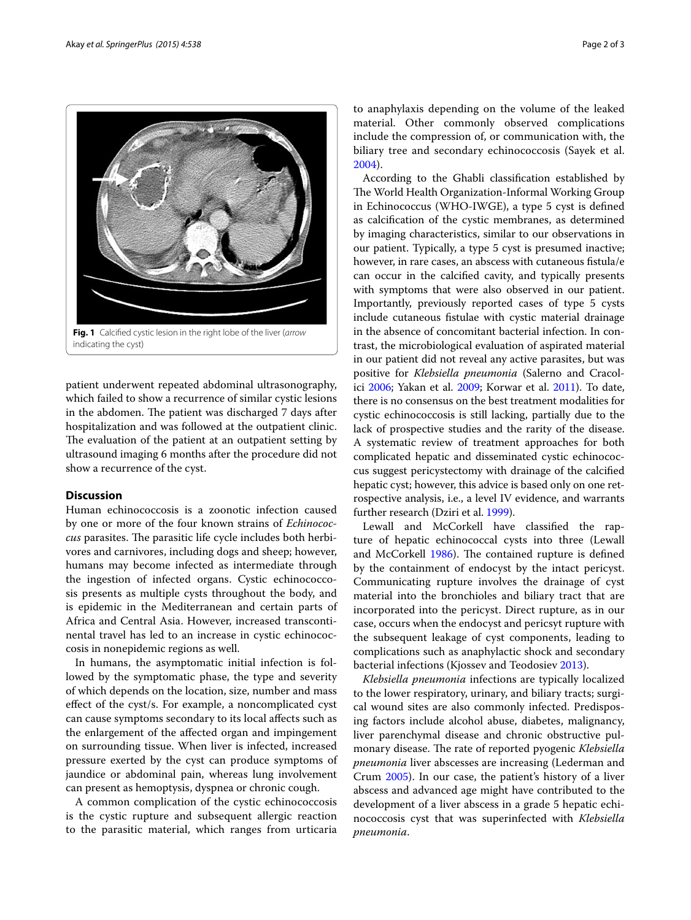

<span id="page-1-0"></span>patient underwent repeated abdominal ultrasonography, which failed to show a recurrence of similar cystic lesions in the abdomen. The patient was discharged 7 days after hospitalization and was followed at the outpatient clinic. The evaluation of the patient at an outpatient setting by ultrasound imaging 6 months after the procedure did not show a recurrence of the cyst.

## **Discussion**

Human echinococcosis is a zoonotic infection caused by one or more of the four known strains of *Echinococcus* parasites. The parasitic life cycle includes both herbivores and carnivores, including dogs and sheep; however, humans may become infected as intermediate through the ingestion of infected organs. Cystic echinococcosis presents as multiple cysts throughout the body, and is epidemic in the Mediterranean and certain parts of Africa and Central Asia. However, increased transcontinental travel has led to an increase in cystic echinococcosis in nonepidemic regions as well.

In humans, the asymptomatic initial infection is followed by the symptomatic phase, the type and severity of which depends on the location, size, number and mass effect of the cyst/s. For example, a noncomplicated cyst can cause symptoms secondary to its local affects such as the enlargement of the affected organ and impingement on surrounding tissue. When liver is infected, increased pressure exerted by the cyst can produce symptoms of jaundice or abdominal pain, whereas lung involvement can present as hemoptysis, dyspnea or chronic cough.

A common complication of the cystic echinococcosis is the cystic rupture and subsequent allergic reaction to the parasitic material, which ranges from urticaria to anaphylaxis depending on the volume of the leaked material. Other commonly observed complications include the compression of, or communication with, the biliary tree and secondary echinococcosis (Sayek et al. [2004\)](#page-2-0).

According to the Ghabli classification established by The World Health Organization-Informal Working Group in Echinococcus (WHO-IWGE), a type 5 cyst is defined as calcification of the cystic membranes, as determined by imaging characteristics, similar to our observations in our patient. Typically, a type 5 cyst is presumed inactive; however, in rare cases, an abscess with cutaneous fistula/e can occur in the calcified cavity, and typically presents with symptoms that were also observed in our patient. Importantly, previously reported cases of type 5 cysts include cutaneous fistulae with cystic material drainage in the absence of concomitant bacterial infection. In contrast, the microbiological evaluation of aspirated material in our patient did not reveal any active parasites, but was positive for *Klebsiella pneumonia* (Salerno and Cracolici [2006](#page-2-1); Yakan et al. [2009;](#page-2-2) Korwar et al. [2011](#page-2-3)). To date, there is no consensus on the best treatment modalities for cystic echinococcosis is still lacking, partially due to the lack of prospective studies and the rarity of the disease. A systematic review of treatment approaches for both complicated hepatic and disseminated cystic echinococcus suggest pericystectomy with drainage of the calcified hepatic cyst; however, this advice is based only on one retrospective analysis, i.e., a level IV evidence, and warrants further research (Dziri et al. [1999\)](#page-2-4).

Lewall and McCorkell have classified the rapture of hepatic echinococcal cysts into three (Lewall and McCorkell [1986](#page-2-5)). The contained rupture is defined by the containment of endocyst by the intact pericyst. Communicating rupture involves the drainage of cyst material into the bronchioles and biliary tract that are incorporated into the pericyst. Direct rupture, as in our case, occurs when the endocyst and pericsyt rupture with the subsequent leakage of cyst components, leading to complications such as anaphylactic shock and secondary bacterial infections (Kjossev and Teodosiev [2013\)](#page-2-6).

*Klebsiella pneumonia* infections are typically localized to the lower respiratory, urinary, and biliary tracts; surgical wound sites are also commonly infected. Predisposing factors include alcohol abuse, diabetes, malignancy, liver parenchymal disease and chronic obstructive pulmonary disease. The rate of reported pyogenic *Klebsiella pneumonia* liver abscesses are increasing (Lederman and Crum [2005](#page-2-7)). In our case, the patient's history of a liver abscess and advanced age might have contributed to the development of a liver abscess in a grade 5 hepatic echinococcosis cyst that was superinfected with *Klebsiella pneumonia*.